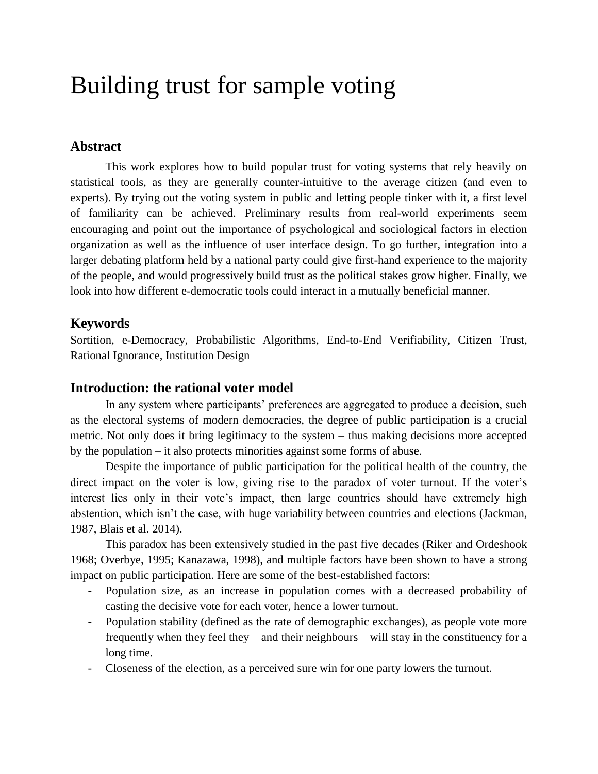# Building trust for sample voting

# **Abstract**

This work explores how to build popular trust for voting systems that rely heavily on statistical tools, as they are generally counter-intuitive to the average citizen (and even to experts). By trying out the voting system in public and letting people tinker with it, a first level of familiarity can be achieved. Preliminary results from real-world experiments seem encouraging and point out the importance of psychological and sociological factors in election organization as well as the influence of user interface design. To go further, integration into a larger debating platform held by a national party could give first-hand experience to the majority of the people, and would progressively build trust as the political stakes grow higher. Finally, we look into how different e-democratic tools could interact in a mutually beneficial manner.

## **Keywords**

Sortition, e-Democracy, Probabilistic Algorithms, End-to-End Verifiability, Citizen Trust, Rational Ignorance, Institution Design

# **Introduction: the rational voter model**

In any system where participants' preferences are aggregated to produce a decision, such as the electoral systems of modern democracies, the degree of public participation is a crucial metric. Not only does it bring legitimacy to the system – thus making decisions more accepted by the population – it also protects minorities against some forms of abuse.

Despite the importance of public participation for the political health of the country, the direct impact on the voter is low, giving rise to the paradox of voter turnout. If the voter's interest lies only in their vote's impact, then large countries should have extremely high abstention, which isn't the case, with huge variability between countries and elections (Jackman, 1987, Blais et al. 2014).

This paradox has been extensively studied in the past five decades (Riker and Ordeshook 1968; Overbye, 1995; Kanazawa, 1998), and multiple factors have been shown to have a strong impact on public participation. Here are some of the best-established factors:

- Population size, as an increase in population comes with a decreased probability of casting the decisive vote for each voter, hence a lower turnout.
- Population stability (defined as the rate of demographic exchanges), as people vote more frequently when they feel they – and their neighbours – will stay in the constituency for a long time.
- Closeness of the election, as a perceived sure win for one party lowers the turnout.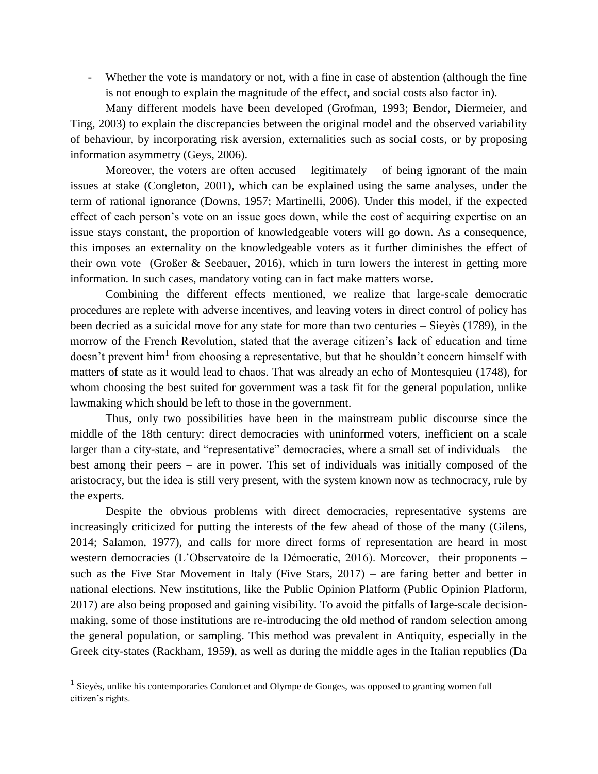- Whether the vote is mandatory or not, with a fine in case of abstention (although the fine is not enough to explain the magnitude of the effect, and social costs also factor in).

Many different models have been developed (Grofman, 1993; Bendor, Diermeier, and Ting, 2003) to explain the discrepancies between the original model and the observed variability of behaviour, by incorporating risk aversion, externalities such as social costs, or by proposing information asymmetry (Geys, 2006).

Moreover, the voters are often accused  $-$  legitimately  $-$  of being ignorant of the main issues at stake (Congleton, 2001), which can be explained using the same analyses, under the term of rational ignorance (Downs, 1957; Martinelli, 2006). Under this model, if the expected effect of each person's vote on an issue goes down, while the cost of acquiring expertise on an issue stays constant, the proportion of knowledgeable voters will go down. As a consequence, this imposes an externality on the knowledgeable voters as it further diminishes the effect of their own vote (Großer & Seebauer, 2016), which in turn lowers the interest in getting more information. In such cases, mandatory voting can in fact make matters worse.

Combining the different effects mentioned, we realize that large-scale democratic procedures are replete with adverse incentives, and leaving voters in direct control of policy has been decried as a suicidal move for any state for more than two centuries – Sieyès (1789), in the morrow of the French Revolution, stated that the average citizen's lack of education and time doesn't prevent him<sup>1</sup> from choosing a representative, but that he shouldn't concern himself with matters of state as it would lead to chaos. That was already an echo of Montesquieu (1748), for whom choosing the best suited for government was a task fit for the general population, unlike lawmaking which should be left to those in the government.

Thus, only two possibilities have been in the mainstream public discourse since the middle of the 18th century: direct democracies with uninformed voters, inefficient on a scale larger than a city-state, and "representative" democracies, where a small set of individuals – the best among their peers – are in power. This set of individuals was initially composed of the aristocracy, but the idea is still very present, with the system known now as technocracy, rule by the experts.

Despite the obvious problems with direct democracies, representative systems are increasingly criticized for putting the interests of the few ahead of those of the many (Gilens, 2014; Salamon, 1977), and calls for more direct forms of representation are heard in most western democracies (L'Observatoire de la Démocratie, 2016). Moreover, their proponents – such as the Five Star Movement in Italy (Five Stars, 2017) – are faring better and better in national elections. New institutions, like the Public Opinion Platform (Public Opinion Platform, 2017) are also being proposed and gaining visibility. To avoid the pitfalls of large-scale decisionmaking, some of those institutions are re-introducing the old method of random selection among the general population, or sampling. This method was prevalent in Antiquity, especially in the Greek city-states (Rackham, 1959), as well as during the middle ages in the Italian republics (Da

 $\overline{a}$ 

<sup>&</sup>lt;sup>1</sup> Sieyès, unlike his contemporaries Condorcet and Olympe de Gouges, was opposed to granting women full citizen's rights.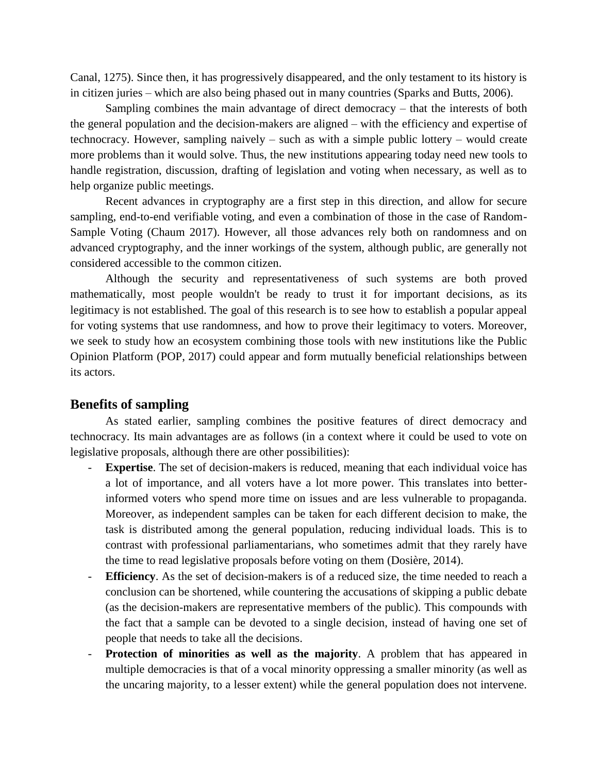Canal, 1275). Since then, it has progressively disappeared, and the only testament to its history is in citizen juries – which are also being phased out in many countries (Sparks and Butts, 2006).

Sampling combines the main advantage of direct democracy – that the interests of both the general population and the decision-makers are aligned – with the efficiency and expertise of technocracy. However, sampling naively – such as with a simple public lottery – would create more problems than it would solve. Thus, the new institutions appearing today need new tools to handle registration, discussion, drafting of legislation and voting when necessary, as well as to help organize public meetings.

Recent advances in cryptography are a first step in this direction, and allow for secure sampling, end-to-end verifiable voting, and even a combination of those in the case of Random-Sample Voting (Chaum 2017). However, all those advances rely both on randomness and on advanced cryptography, and the inner workings of the system, although public, are generally not considered accessible to the common citizen.

Although the security and representativeness of such systems are both proved mathematically, most people wouldn't be ready to trust it for important decisions, as its legitimacy is not established. The goal of this research is to see how to establish a popular appeal for voting systems that use randomness, and how to prove their legitimacy to voters. Moreover, we seek to study how an ecosystem combining those tools with new institutions like the Public Opinion Platform (POP, 2017) could appear and form mutually beneficial relationships between its actors.

## **Benefits of sampling**

As stated earlier, sampling combines the positive features of direct democracy and technocracy. Its main advantages are as follows (in a context where it could be used to vote on legislative proposals, although there are other possibilities):

- **Expertise**. The set of decision-makers is reduced, meaning that each individual voice has a lot of importance, and all voters have a lot more power. This translates into betterinformed voters who spend more time on issues and are less vulnerable to propaganda. Moreover, as independent samples can be taken for each different decision to make, the task is distributed among the general population, reducing individual loads. This is to contrast with professional parliamentarians, who sometimes admit that they rarely have the time to read legislative proposals before voting on them (Dosière, 2014).
- **Efficiency**. As the set of decision-makers is of a reduced size, the time needed to reach a conclusion can be shortened, while countering the accusations of skipping a public debate (as the decision-makers are representative members of the public). This compounds with the fact that a sample can be devoted to a single decision, instead of having one set of people that needs to take all the decisions.
- **Protection of minorities as well as the majority**. A problem that has appeared in multiple democracies is that of a vocal minority oppressing a smaller minority (as well as the uncaring majority, to a lesser extent) while the general population does not intervene.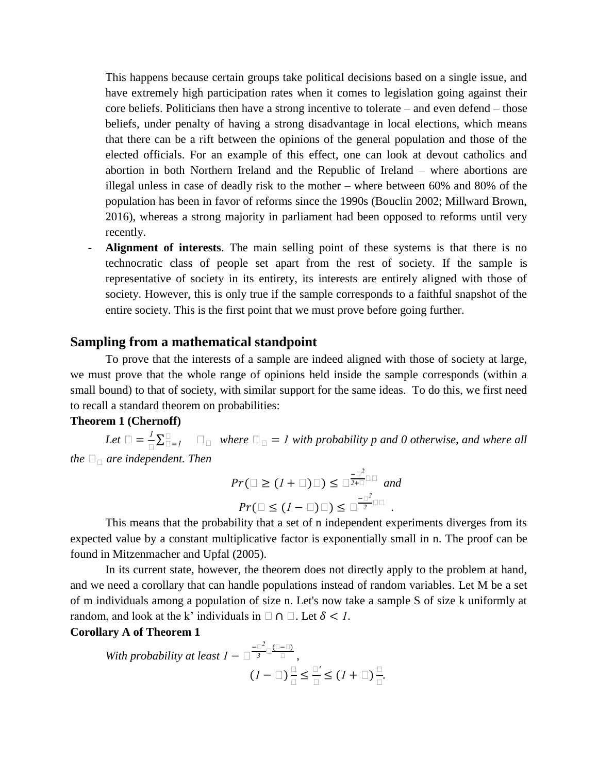This happens because certain groups take political decisions based on a single issue, and have extremely high participation rates when it comes to legislation going against their core beliefs. Politicians then have a strong incentive to tolerate – and even defend – those beliefs, under penalty of having a strong disadvantage in local elections, which means that there can be a rift between the opinions of the general population and those of the elected officials. For an example of this effect, one can look at devout catholics and abortion in both Northern Ireland and the Republic of Ireland – where abortions are illegal unless in case of deadly risk to the mother – where between 60% and 80% of the population has been in favor of reforms since the 1990s (Bouclin 2002; Millward Brown, 2016), whereas a strong majority in parliament had been opposed to reforms until very recently.

Alignment of interests. The main selling point of these systems is that there is no technocratic class of people set apart from the rest of society. If the sample is representative of society in its entirety, its interests are entirely aligned with those of society. However, this is only true if the sample corresponds to a faithful snapshot of the entire society. This is the first point that we must prove before going further.

## **Sampling from a mathematical standpoint**

To prove that the interests of a sample are indeed aligned with those of society at large, we must prove that the whole range of opinions held inside the sample corresponds (within a small bound) to that of society, with similar support for the same ideas. To do this, we first need to recall a standard theorem on probabilities:

# **Theorem 1 (Chernoff)**

Let  $\square = \frac{1}{\square}$  $\frac{1}{n} \sum_{i=1}^{n}$   $\Box$  *where*  $\Box$   $\Box$  *= 1 with probability p and 0 otherwise, and where all the*  $\Box$  *are independent. Then* 

$$
Pr(\square \geq (l + \square) \square) \leq \square^{\frac{-\square^2}{2+\square} \square} \text{ and }
$$
  

$$
Pr(\square \leq (l - \square) \square) \leq \square^{\frac{-\square^2}{2}\square}.
$$

This means that the probability that a set of n independent experiments diverges from its expected value by a constant multiplicative factor is exponentially small in n. The proof can be found in Mitzenmacher and Upfal (2005).

In its current state, however, the theorem does not directly apply to the problem at hand, and we need a corollary that can handle populations instead of random variables. Let M be a set of m individuals among a population of size n. Let's now take a sample S of size k uniformly at random, and look at the k' individuals in  $\Box \cap \Box$ . Let  $\delta < I$ .

*.*

#### **Corollary A of Theorem 1**

With probability at least 
$$
1 - \square^{\frac{-\square^2}{3}} \square^{\frac{(\square - \square)}{\square}},
$$
  
\n
$$
(1 - \square)^{\frac{\square}{\square}} \leq \frac{\square'}{\square} \leq (1 + \square)^{\frac{\square}{\square}}
$$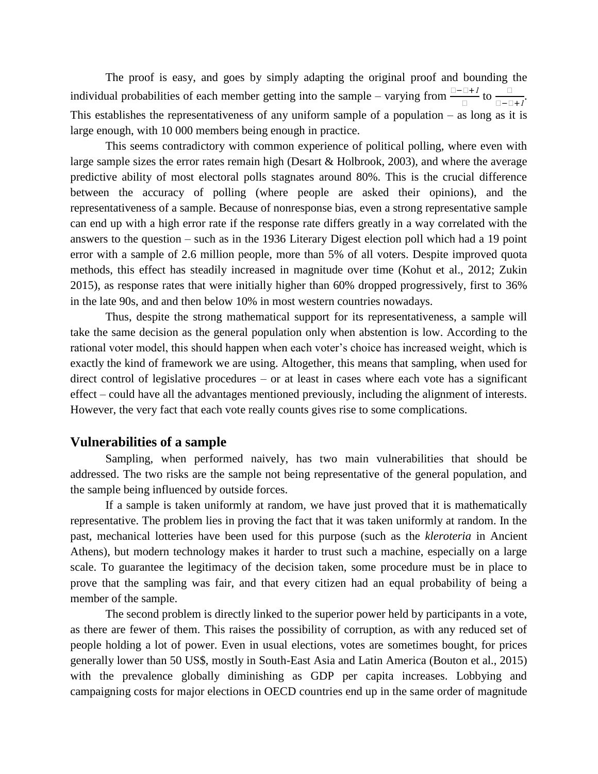The proof is easy, and goes by simply adapting the original proof and bounding the individual probabilities of each member getting into the sample – varying from  $\frac{\Box - \Box + I}{\Box}$  to  $\frac{\Box}{\Box - \Box}$ <u>–−−+1</u> This establishes the representativeness of any uniform sample of a population  $-$  as long as it is large enough, with 10 000 members being enough in practice.

This seems contradictory with common experience of political polling, where even with large sample sizes the error rates remain high (Desart & Holbrook, 2003), and where the average predictive ability of most electoral polls stagnates around 80%. This is the crucial difference between the accuracy of polling (where people are asked their opinions), and the representativeness of a sample. Because of nonresponse bias, even a strong representative sample can end up with a high error rate if the response rate differs greatly in a way correlated with the answers to the question – such as in the 1936 Literary Digest election poll which had a 19 point error with a sample of 2.6 million people, more than 5% of all voters. Despite improved quota methods, this effect has steadily increased in magnitude over time (Kohut et al., 2012; Zukin 2015), as response rates that were initially higher than 60% dropped progressively, first to 36% in the late 90s, and and then below 10% in most western countries nowadays.

Thus, despite the strong mathematical support for its representativeness, a sample will take the same decision as the general population only when abstention is low. According to the rational voter model, this should happen when each voter's choice has increased weight, which is exactly the kind of framework we are using. Altogether, this means that sampling, when used for direct control of legislative procedures – or at least in cases where each vote has a significant effect – could have all the advantages mentioned previously, including the alignment of interests. However, the very fact that each vote really counts gives rise to some complications.

## **Vulnerabilities of a sample**

Sampling, when performed naively, has two main vulnerabilities that should be addressed. The two risks are the sample not being representative of the general population, and the sample being influenced by outside forces.

If a sample is taken uniformly at random, we have just proved that it is mathematically representative. The problem lies in proving the fact that it was taken uniformly at random. In the past, mechanical lotteries have been used for this purpose (such as the *kleroteria* in Ancient Athens), but modern technology makes it harder to trust such a machine, especially on a large scale. To guarantee the legitimacy of the decision taken, some procedure must be in place to prove that the sampling was fair, and that every citizen had an equal probability of being a member of the sample.

The second problem is directly linked to the superior power held by participants in a vote, as there are fewer of them. This raises the possibility of corruption, as with any reduced set of people holding a lot of power. Even in usual elections, votes are sometimes bought, for prices generally lower than 50 US\$, mostly in South-East Asia and Latin America (Bouton et al., 2015) with the prevalence globally diminishing as GDP per capita increases. Lobbying and campaigning costs for major elections in OECD countries end up in the same order of magnitude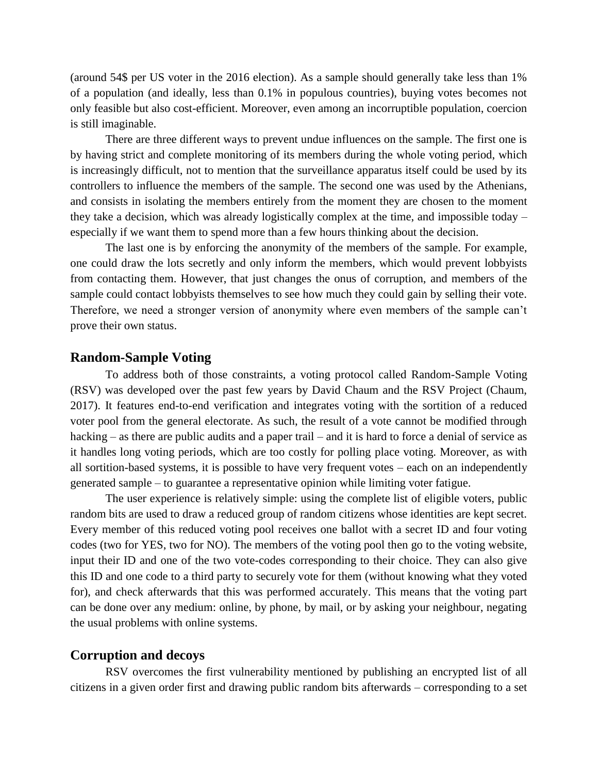(around 54\$ per US voter in the 2016 election). As a sample should generally take less than 1% of a population (and ideally, less than 0.1% in populous countries), buying votes becomes not only feasible but also cost-efficient. Moreover, even among an incorruptible population, coercion is still imaginable.

There are three different ways to prevent undue influences on the sample. The first one is by having strict and complete monitoring of its members during the whole voting period, which is increasingly difficult, not to mention that the surveillance apparatus itself could be used by its controllers to influence the members of the sample. The second one was used by the Athenians, and consists in isolating the members entirely from the moment they are chosen to the moment they take a decision, which was already logistically complex at the time, and impossible today – especially if we want them to spend more than a few hours thinking about the decision.

The last one is by enforcing the anonymity of the members of the sample. For example, one could draw the lots secretly and only inform the members, which would prevent lobbyists from contacting them. However, that just changes the onus of corruption, and members of the sample could contact lobbyists themselves to see how much they could gain by selling their vote. Therefore, we need a stronger version of anonymity where even members of the sample can't prove their own status.

## **Random-Sample Voting**

To address both of those constraints, a voting protocol called Random-Sample Voting (RSV) was developed over the past few years by David Chaum and the RSV Project (Chaum, 2017). It features end-to-end verification and integrates voting with the sortition of a reduced voter pool from the general electorate. As such, the result of a vote cannot be modified through hacking – as there are public audits and a paper trail – and it is hard to force a denial of service as it handles long voting periods, which are too costly for polling place voting. Moreover, as with all sortition-based systems, it is possible to have very frequent votes – each on an independently generated sample – to guarantee a representative opinion while limiting voter fatigue.

The user experience is relatively simple: using the complete list of eligible voters, public random bits are used to draw a reduced group of random citizens whose identities are kept secret. Every member of this reduced voting pool receives one ballot with a secret ID and four voting codes (two for YES, two for NO). The members of the voting pool then go to the voting website, input their ID and one of the two vote-codes corresponding to their choice. They can also give this ID and one code to a third party to securely vote for them (without knowing what they voted for), and check afterwards that this was performed accurately. This means that the voting part can be done over any medium: online, by phone, by mail, or by asking your neighbour, negating the usual problems with online systems.

## **Corruption and decoys**

RSV overcomes the first vulnerability mentioned by publishing an encrypted list of all citizens in a given order first and drawing public random bits afterwards – corresponding to a set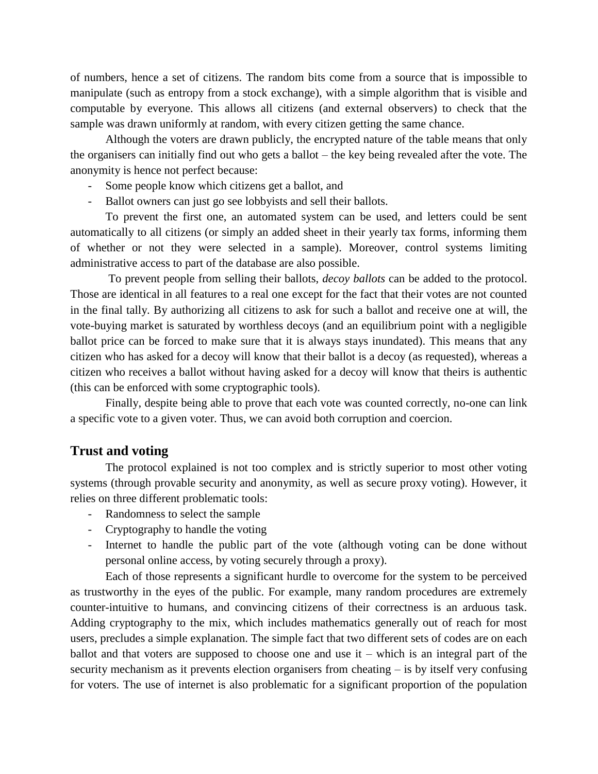of numbers, hence a set of citizens. The random bits come from a source that is impossible to manipulate (such as entropy from a stock exchange), with a simple algorithm that is visible and computable by everyone. This allows all citizens (and external observers) to check that the sample was drawn uniformly at random, with every citizen getting the same chance.

Although the voters are drawn publicly, the encrypted nature of the table means that only the organisers can initially find out who gets a ballot – the key being revealed after the vote. The anonymity is hence not perfect because:

- Some people know which citizens get a ballot, and
- Ballot owners can just go see lobbyists and sell their ballots.

To prevent the first one, an automated system can be used, and letters could be sent automatically to all citizens (or simply an added sheet in their yearly tax forms, informing them of whether or not they were selected in a sample). Moreover, control systems limiting administrative access to part of the database are also possible.

To prevent people from selling their ballots, *decoy ballots* can be added to the protocol. Those are identical in all features to a real one except for the fact that their votes are not counted in the final tally. By authorizing all citizens to ask for such a ballot and receive one at will, the vote-buying market is saturated by worthless decoys (and an equilibrium point with a negligible ballot price can be forced to make sure that it is always stays inundated). This means that any citizen who has asked for a decoy will know that their ballot is a decoy (as requested), whereas a citizen who receives a ballot without having asked for a decoy will know that theirs is authentic (this can be enforced with some cryptographic tools).

Finally, despite being able to prove that each vote was counted correctly, no-one can link a specific vote to a given voter. Thus, we can avoid both corruption and coercion.

# **Trust and voting**

The protocol explained is not too complex and is strictly superior to most other voting systems (through provable security and anonymity, as well as secure proxy voting). However, it relies on three different problematic tools:

- Randomness to select the sample
- Cryptography to handle the voting
- Internet to handle the public part of the vote (although voting can be done without personal online access, by voting securely through a proxy).

Each of those represents a significant hurdle to overcome for the system to be perceived as trustworthy in the eyes of the public. For example, many random procedures are extremely counter-intuitive to humans, and convincing citizens of their correctness is an arduous task. Adding cryptography to the mix, which includes mathematics generally out of reach for most users, precludes a simple explanation. The simple fact that two different sets of codes are on each ballot and that voters are supposed to choose one and use it – which is an integral part of the security mechanism as it prevents election organisers from cheating – is by itself very confusing for voters. The use of internet is also problematic for a significant proportion of the population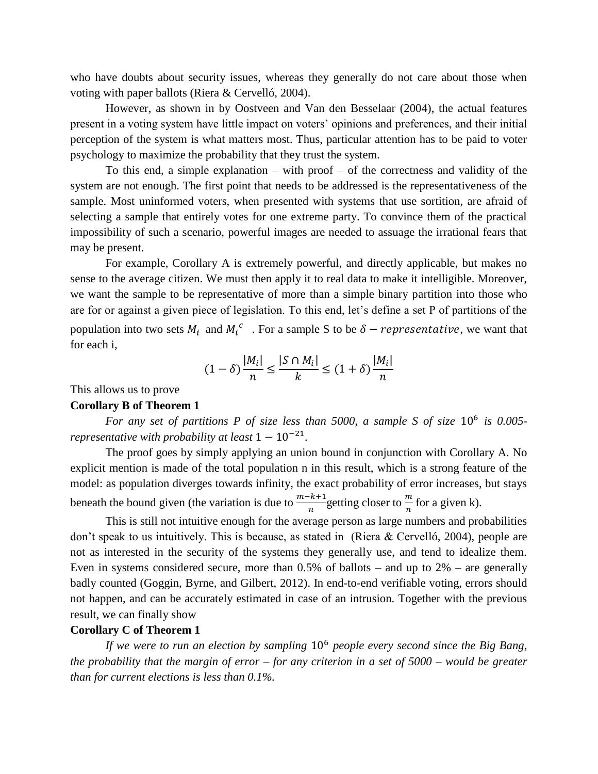who have doubts about security issues, whereas they generally do not care about those when voting with paper ballots (Riera & Cervelló, 2004).

However, as shown in by Oostveen and Van den Besselaar (2004), the actual features present in a voting system have little impact on voters' opinions and preferences, and their initial perception of the system is what matters most. Thus, particular attention has to be paid to voter psychology to maximize the probability that they trust the system.

To this end, a simple explanation – with proof – of the correctness and validity of the system are not enough. The first point that needs to be addressed is the representativeness of the sample. Most uninformed voters, when presented with systems that use sortition, are afraid of selecting a sample that entirely votes for one extreme party. To convince them of the practical impossibility of such a scenario, powerful images are needed to assuage the irrational fears that may be present.

For example, Corollary A is extremely powerful, and directly applicable, but makes no sense to the average citizen. We must then apply it to real data to make it intelligible. Moreover, we want the sample to be representative of more than a simple binary partition into those who are for or against a given piece of legislation. To this end, let's define a set P of partitions of the population into two sets  $M_i$  and  $M_i^c$ . For a sample S to be  $\delta$  – representative, we want that for each i,

$$
(1 - \delta) \frac{|M_i|}{n} \le \frac{|S \cap M_i|}{k} \le (1 + \delta) \frac{|M_i|}{n}
$$

This allows us to prove

#### **Corollary B of Theorem 1**

For any set of partitions P of size less than 5000, a sample S of size 10<sup>6</sup> is 0.005*representative with probability at least*  $1 - 10^{-21}$ *.* 

The proof goes by simply applying an union bound in conjunction with Corollary A. No explicit mention is made of the total population n in this result, which is a strong feature of the model: as population diverges towards infinity, the exact probability of error increases, but stays beneath the bound given (the variation is due to  $\frac{m-k+1}{n}$  getting closer to  $\frac{m}{n}$  for a given k).

This is still not intuitive enough for the average person as large numbers and probabilities don't speak to us intuitively. This is because, as stated in (Riera & Cervelló, 2004), people are not as interested in the security of the systems they generally use, and tend to idealize them. Even in systems considered secure, more than  $0.5\%$  of ballots – and up to  $2\%$  – are generally badly counted (Goggin, Byrne, and Gilbert, 2012). In end-to-end verifiable voting, errors should not happen, and can be accurately estimated in case of an intrusion. Together with the previous result, we can finally show

#### **Corollary C of Theorem 1**

*If we were to run an election by sampling* 10 <sup>6</sup> *people every second since the Big Bang, the probability that the margin of error – for any criterion in a set of 5000 – would be greater than for current elections is less than 0.1%.*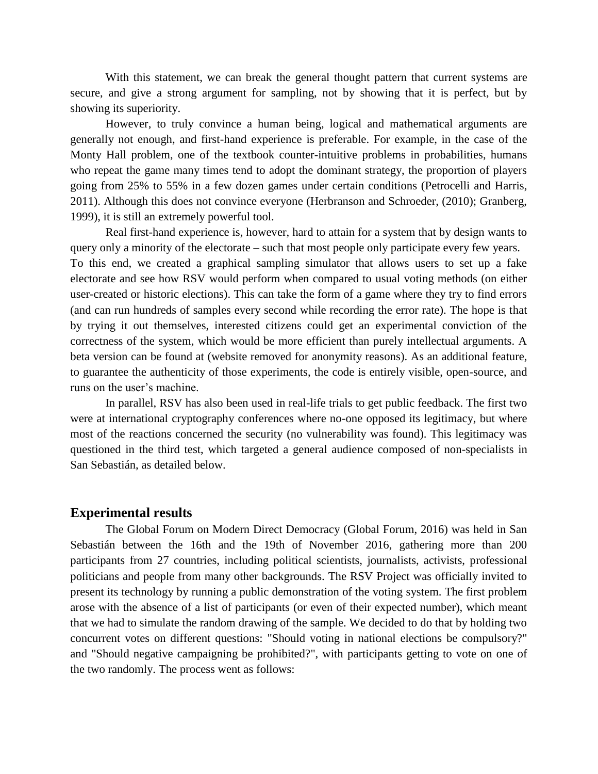With this statement, we can break the general thought pattern that current systems are secure, and give a strong argument for sampling, not by showing that it is perfect, but by showing its superiority.

However, to truly convince a human being, logical and mathematical arguments are generally not enough, and first-hand experience is preferable. For example, in the case of the Monty Hall problem, one of the textbook counter-intuitive problems in probabilities, humans who repeat the game many times tend to adopt the dominant strategy, the proportion of players going from 25% to 55% in a few dozen games under certain conditions (Petrocelli and Harris, 2011). Although this does not convince everyone (Herbranson and Schroeder, (2010); Granberg, 1999), it is still an extremely powerful tool.

Real first-hand experience is, however, hard to attain for a system that by design wants to query only a minority of the electorate – such that most people only participate every few years. To this end, we created a graphical sampling simulator that allows users to set up a fake electorate and see how RSV would perform when compared to usual voting methods (on either user-created or historic elections). This can take the form of a game where they try to find errors (and can run hundreds of samples every second while recording the error rate). The hope is that by trying it out themselves, interested citizens could get an experimental conviction of the correctness of the system, which would be more efficient than purely intellectual arguments. A beta version can be found at (website removed for anonymity reasons). As an additional feature, to guarantee the authenticity of those experiments, the code is entirely visible, open-source, and runs on the user's machine.

In parallel, RSV has also been used in real-life trials to get public feedback. The first two were at international cryptography conferences where no-one opposed its legitimacy, but where most of the reactions concerned the security (no vulnerability was found). This legitimacy was questioned in the third test, which targeted a general audience composed of non-specialists in San Sebastián, as detailed below.

#### **Experimental results**

The Global Forum on Modern Direct Democracy (Global Forum, 2016) was held in San Sebastián between the 16th and the 19th of November 2016, gathering more than 200 participants from 27 countries, including political scientists, journalists, activists, professional politicians and people from many other backgrounds. The RSV Project was officially invited to present its technology by running a public demonstration of the voting system. The first problem arose with the absence of a list of participants (or even of their expected number), which meant that we had to simulate the random drawing of the sample. We decided to do that by holding two concurrent votes on different questions: "Should voting in national elections be compulsory?" and "Should negative campaigning be prohibited?", with participants getting to vote on one of the two randomly. The process went as follows: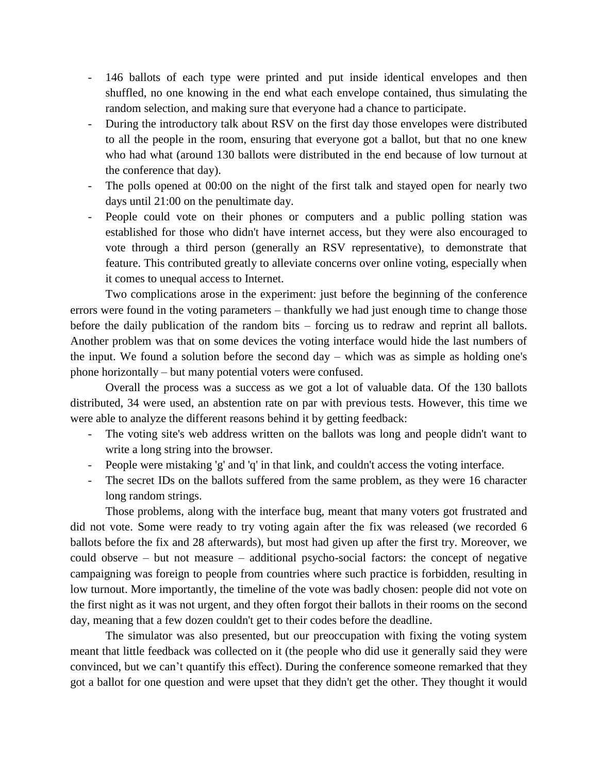- 146 ballots of each type were printed and put inside identical envelopes and then shuffled, no one knowing in the end what each envelope contained, thus simulating the random selection, and making sure that everyone had a chance to participate.
- During the introductory talk about RSV on the first day those envelopes were distributed to all the people in the room, ensuring that everyone got a ballot, but that no one knew who had what (around 130 ballots were distributed in the end because of low turnout at the conference that day).
- The polls opened at 00:00 on the night of the first talk and stayed open for nearly two days until 21:00 on the penultimate day.
- People could vote on their phones or computers and a public polling station was established for those who didn't have internet access, but they were also encouraged to vote through a third person (generally an RSV representative), to demonstrate that feature. This contributed greatly to alleviate concerns over online voting, especially when it comes to unequal access to Internet.

Two complications arose in the experiment: just before the beginning of the conference errors were found in the voting parameters – thankfully we had just enough time to change those before the daily publication of the random bits – forcing us to redraw and reprint all ballots. Another problem was that on some devices the voting interface would hide the last numbers of the input. We found a solution before the second day – which was as simple as holding one's phone horizontally – but many potential voters were confused.

Overall the process was a success as we got a lot of valuable data. Of the 130 ballots distributed, 34 were used, an abstention rate on par with previous tests. However, this time we were able to analyze the different reasons behind it by getting feedback:

- The voting site's web address written on the ballots was long and people didn't want to write a long string into the browser.
- People were mistaking 'g' and 'q' in that link, and couldn't access the voting interface.
- The secret IDs on the ballots suffered from the same problem, as they were 16 character long random strings.

Those problems, along with the interface bug, meant that many voters got frustrated and did not vote. Some were ready to try voting again after the fix was released (we recorded 6 ballots before the fix and 28 afterwards), but most had given up after the first try. Moreover, we could observe – but not measure – additional psycho-social factors: the concept of negative campaigning was foreign to people from countries where such practice is forbidden, resulting in low turnout. More importantly, the timeline of the vote was badly chosen: people did not vote on the first night as it was not urgent, and they often forgot their ballots in their rooms on the second day, meaning that a few dozen couldn't get to their codes before the deadline.

The simulator was also presented, but our preoccupation with fixing the voting system meant that little feedback was collected on it (the people who did use it generally said they were convinced, but we can't quantify this effect). During the conference someone remarked that they got a ballot for one question and were upset that they didn't get the other. They thought it would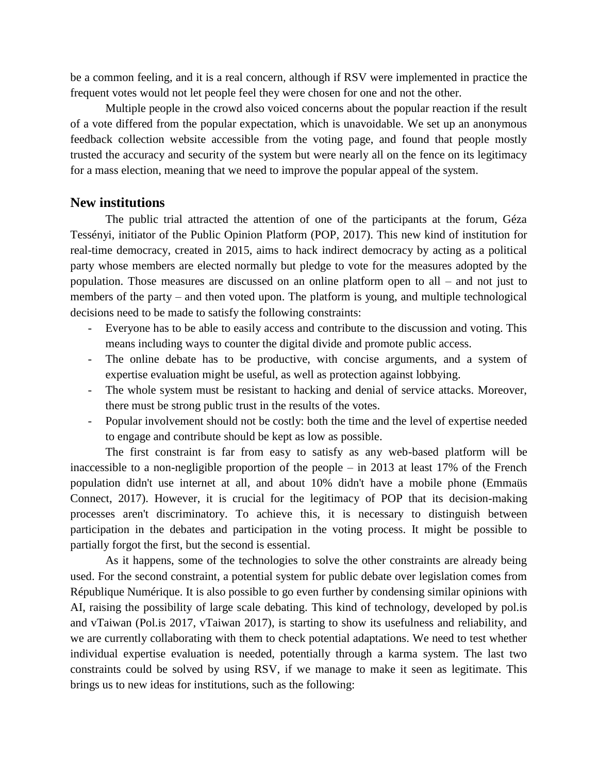be a common feeling, and it is a real concern, although if RSV were implemented in practice the frequent votes would not let people feel they were chosen for one and not the other.

Multiple people in the crowd also voiced concerns about the popular reaction if the result of a vote differed from the popular expectation, which is unavoidable. We set up an anonymous feedback collection website accessible from the voting page, and found that people mostly trusted the accuracy and security of the system but were nearly all on the fence on its legitimacy for a mass election, meaning that we need to improve the popular appeal of the system.

## **New institutions**

The public trial attracted the attention of one of the participants at the forum, Géza Tessényi, initiator of the Public Opinion Platform (POP, 2017). This new kind of institution for real-time democracy, created in 2015, aims to hack indirect democracy by acting as a political party whose members are elected normally but pledge to vote for the measures adopted by the population. Those measures are discussed on an online platform open to all – and not just to members of the party – and then voted upon. The platform is young, and multiple technological decisions need to be made to satisfy the following constraints:

- Everyone has to be able to easily access and contribute to the discussion and voting. This means including ways to counter the digital divide and promote public access.
- The online debate has to be productive, with concise arguments, and a system of expertise evaluation might be useful, as well as protection against lobbying.
- The whole system must be resistant to hacking and denial of service attacks. Moreover, there must be strong public trust in the results of the votes.
- Popular involvement should not be costly: both the time and the level of expertise needed to engage and contribute should be kept as low as possible.

The first constraint is far from easy to satisfy as any web-based platform will be inaccessible to a non-negligible proportion of the people – in 2013 at least 17% of the French population didn't use internet at all, and about 10% didn't have a mobile phone (Emmaüs Connect, 2017). However, it is crucial for the legitimacy of POP that its decision-making processes aren't discriminatory. To achieve this, it is necessary to distinguish between participation in the debates and participation in the voting process. It might be possible to partially forgot the first, but the second is essential.

As it happens, some of the technologies to solve the other constraints are already being used. For the second constraint, a potential system for public debate over legislation comes from République Numérique. It is also possible to go even further by condensing similar opinions with AI, raising the possibility of large scale debating. This kind of technology, developed by pol.is and vTaiwan (Pol.is 2017, vTaiwan 2017), is starting to show its usefulness and reliability, and we are currently collaborating with them to check potential adaptations. We need to test whether individual expertise evaluation is needed, potentially through a karma system. The last two constraints could be solved by using RSV, if we manage to make it seen as legitimate. This brings us to new ideas for institutions, such as the following: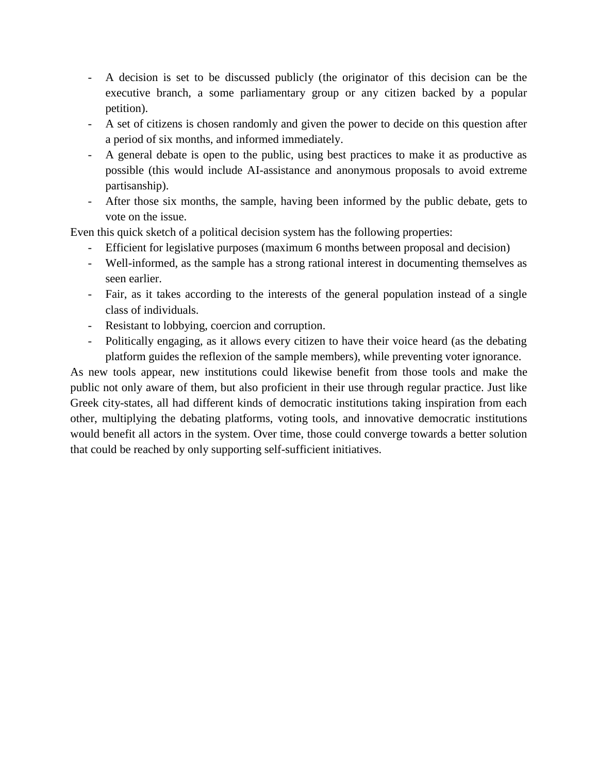- A decision is set to be discussed publicly (the originator of this decision can be the executive branch, a some parliamentary group or any citizen backed by a popular petition).
- A set of citizens is chosen randomly and given the power to decide on this question after a period of six months, and informed immediately.
- A general debate is open to the public, using best practices to make it as productive as possible (this would include AI-assistance and anonymous proposals to avoid extreme partisanship).
- After those six months, the sample, having been informed by the public debate, gets to vote on the issue.

Even this quick sketch of a political decision system has the following properties:

- Efficient for legislative purposes (maximum 6 months between proposal and decision)
- Well-informed, as the sample has a strong rational interest in documenting themselves as seen earlier.
- Fair, as it takes according to the interests of the general population instead of a single class of individuals.
- Resistant to lobbying, coercion and corruption.
- Politically engaging, as it allows every citizen to have their voice heard (as the debating platform guides the reflexion of the sample members), while preventing voter ignorance.

As new tools appear, new institutions could likewise benefit from those tools and make the public not only aware of them, but also proficient in their use through regular practice. Just like Greek city-states, all had different kinds of democratic institutions taking inspiration from each other, multiplying the debating platforms, voting tools, and innovative democratic institutions would benefit all actors in the system. Over time, those could converge towards a better solution that could be reached by only supporting self-sufficient initiatives.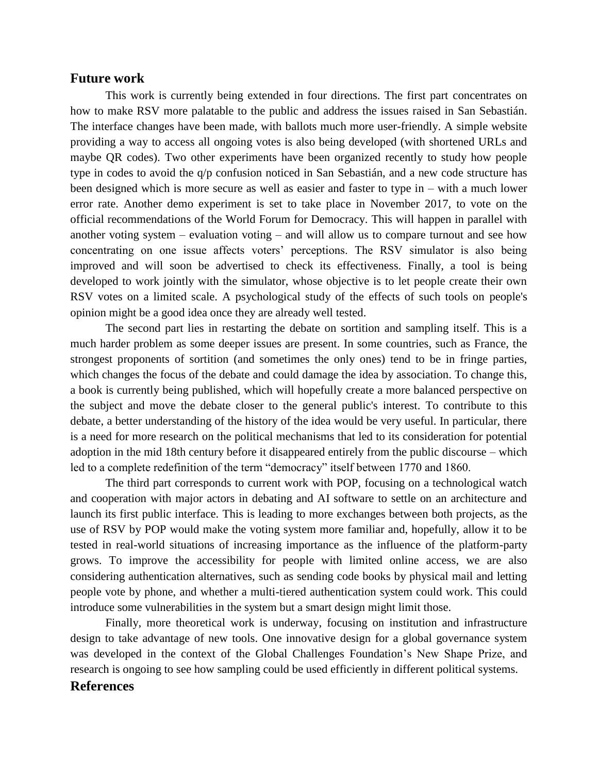#### **Future work**

This work is currently being extended in four directions. The first part concentrates on how to make RSV more palatable to the public and address the issues raised in San Sebastián. The interface changes have been made, with ballots much more user-friendly. A simple website providing a way to access all ongoing votes is also being developed (with shortened URLs and maybe QR codes). Two other experiments have been organized recently to study how people type in codes to avoid the q/p confusion noticed in San Sebastián, and a new code structure has been designed which is more secure as well as easier and faster to type in – with a much lower error rate. Another demo experiment is set to take place in November 2017, to vote on the official recommendations of the World Forum for Democracy. This will happen in parallel with another voting system – evaluation voting – and will allow us to compare turnout and see how concentrating on one issue affects voters' perceptions. The RSV simulator is also being improved and will soon be advertised to check its effectiveness. Finally, a tool is being developed to work jointly with the simulator, whose objective is to let people create their own RSV votes on a limited scale. A psychological study of the effects of such tools on people's opinion might be a good idea once they are already well tested.

The second part lies in restarting the debate on sortition and sampling itself. This is a much harder problem as some deeper issues are present. In some countries, such as France, the strongest proponents of sortition (and sometimes the only ones) tend to be in fringe parties, which changes the focus of the debate and could damage the idea by association. To change this, a book is currently being published, which will hopefully create a more balanced perspective on the subject and move the debate closer to the general public's interest. To contribute to this debate, a better understanding of the history of the idea would be very useful. In particular, there is a need for more research on the political mechanisms that led to its consideration for potential adoption in the mid 18th century before it disappeared entirely from the public discourse – which led to a complete redefinition of the term "democracy" itself between 1770 and 1860.

The third part corresponds to current work with POP, focusing on a technological watch and cooperation with major actors in debating and AI software to settle on an architecture and launch its first public interface. This is leading to more exchanges between both projects, as the use of RSV by POP would make the voting system more familiar and, hopefully, allow it to be tested in real-world situations of increasing importance as the influence of the platform-party grows. To improve the accessibility for people with limited online access, we are also considering authentication alternatives, such as sending code books by physical mail and letting people vote by phone, and whether a multi-tiered authentication system could work. This could introduce some vulnerabilities in the system but a smart design might limit those.

Finally, more theoretical work is underway, focusing on institution and infrastructure design to take advantage of new tools. One innovative design for a global governance system was developed in the context of the Global Challenges Foundation's New Shape Prize, and research is ongoing to see how sampling could be used efficiently in different political systems.

# **References**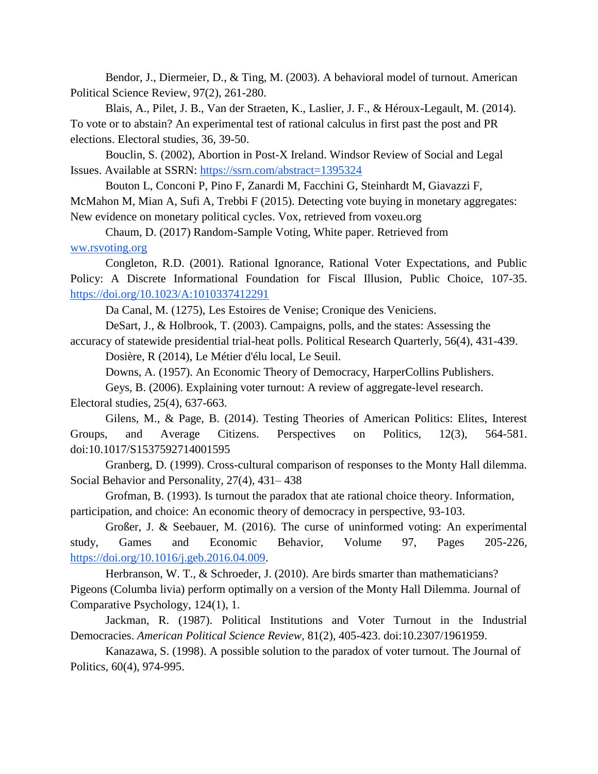Bendor, J., Diermeier, D., & Ting, M. (2003). A behavioral model of turnout. American Political Science Review, 97(2), 261-280.

Blais, A., Pilet, J. B., Van der Straeten, K., Laslier, J. F., & Héroux-Legault, M. (2014). To vote or to abstain? An experimental test of rational calculus in first past the post and PR elections. Electoral studies, 36, 39-50.

Bouclin, S. (2002), Abortion in Post-X Ireland. Windsor Review of Social and Legal Issues. Available at SSRN:<https://ssrn.com/abstract=1395324>

Bouton L, Conconi P, Pino F, Zanardi M, Facchini G, Steinhardt M, Giavazzi F, McMahon M, Mian A, Sufi A, Trebbi F (2015). Detecting vote buying in monetary aggregates: New evidence on monetary political cycles. Vox, retrieved from voxeu.org

Chaum, D. (2017) Random-Sample Voting, White paper. Retrieved from [ww.rsvoting.org](http://www.rsvoting.org/)

Congleton, R.D. (2001). Rational Ignorance, Rational Voter Expectations, and Public Policy: A Discrete Informational Foundation for Fiscal Illusion, Public Choice, 107-35. <https://doi.org/10.1023/A:1010337412291>

Da Canal, M. (1275), Les Estoires de Venise; Cronique des Veniciens.

DeSart, J., & Holbrook, T. (2003). Campaigns, polls, and the states: Assessing the accuracy of statewide presidential trial-heat polls. Political Research Quarterly, 56(4), 431-439.

Dosière, R (2014), Le Métier d'élu local, Le Seuil.

Downs, A. (1957). An Economic Theory of Democracy, HarperCollins Publishers.

Geys, B. (2006). Explaining voter turnout: A review of aggregate-level research.

Electoral studies, 25(4), 637-663.

Gilens, M., & Page, B. (2014). Testing Theories of American Politics: Elites, Interest Groups, and Average Citizens. Perspectives on Politics, 12(3), 564-581. doi:10.1017/S1537592714001595

Granberg, D. (1999). Cross-cultural comparison of responses to the Monty Hall dilemma. Social Behavior and Personality, 27(4), 431– 438

Grofman, B. (1993). Is turnout the paradox that ate rational choice theory. Information, participation, and choice: An economic theory of democracy in perspective, 93-103.

Großer, J. & Seebauer, M. (2016). The curse of uninformed voting: An experimental study, Games and Economic Behavior, Volume 97, Pages 205-226, [https://doi.org/10.1016/j.geb.2016.04.009.](https://doi.org/10.1016/j.geb.2016.04.009)

Herbranson, W. T., & Schroeder, J. (2010). Are birds smarter than mathematicians? Pigeons (Columba livia) perform optimally on a version of the Monty Hall Dilemma. Journal of Comparative Psychology, 124(1), 1.

Jackman, R. (1987). Political Institutions and Voter Turnout in the Industrial Democracies. *American Political Science Review*, 81(2), 405-423. doi:10.2307/1961959.

Kanazawa, S. (1998). A possible solution to the paradox of voter turnout. The Journal of Politics, 60(4), 974-995.